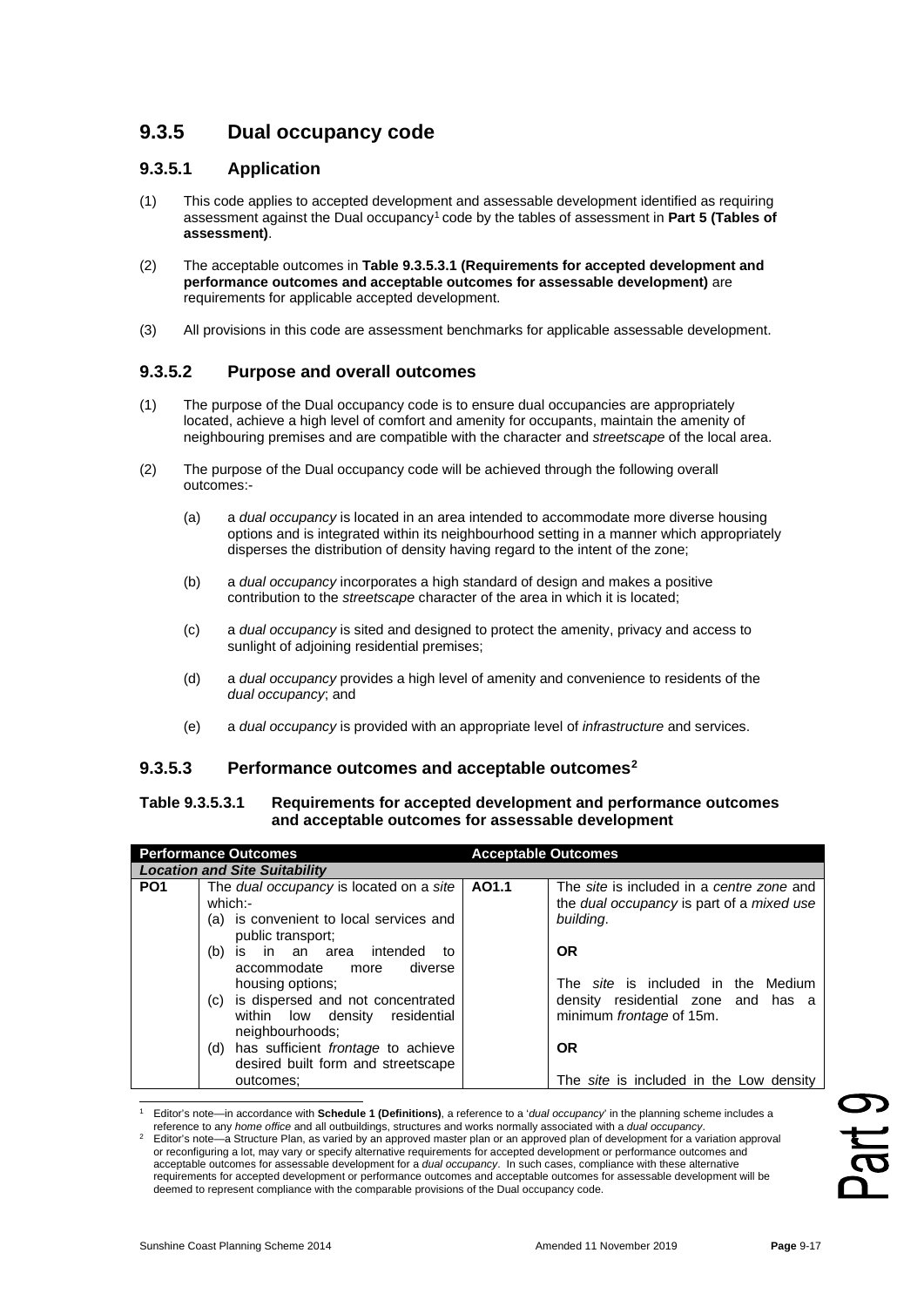# **9.3.5 Dual occupancy code**

## **9.3.5.1 Application**

- (1) This code applies to accepted development and assessable development identified as requiring assessment against the Dual occupancy[1](#page-0-0) code by the tables of assessment in **Part 5 (Tables of assessment)**.
- (2) The acceptable outcomes in **Table 9.3.5.3.1 (Requirements for accepted development and performance outcomes and acceptable outcomes for assessable development)** are requirements for applicable accepted development.
- (3) All provisions in this code are assessment benchmarks for applicable assessable development.

# **9.3.5.2 Purpose and overall outcomes**

- (1) The purpose of the Dual occupancy code is to ensure dual occupancies are appropriately located, achieve a high level of comfort and amenity for occupants, maintain the amenity of neighbouring premises and are compatible with the character and *streetscape* of the local area.
- (2) The purpose of the Dual occupancy code will be achieved through the following overall outcomes:-
	- (a) a *dual occupancy* is located in an area intended to accommodate more diverse housing options and is integrated within its neighbourhood setting in a manner which appropriately disperses the distribution of density having regard to the intent of the zone;
	- (b) a *dual occupancy* incorporates a high standard of design and makes a positive contribution to the *streetscape* character of the area in which it is located;
	- (c) a *dual occupancy* is sited and designed to protect the amenity, privacy and access to sunlight of adjoining residential premises;
	- (d) a *dual occupancy* provides a high level of amenity and convenience to residents of the *dual occupancy*; and
	- (e) a *dual occupancy* is provided with an appropriate level of *infrastructure* and services.

## **9.3.5.3 Performance outcomes and acceptable outcomes[2](#page-0-1)**

#### **Table 9.3.5.3.1 Requirements for accepted development and performance outcomes and acceptable outcomes for assessable development**

|                 | <b>Performance Outcomes</b>                                                                                                                                                                                                                                                                                                                                                                             | <b>Acceptable Outcomes</b> |                                                                                                                                                                                                                                                     |
|-----------------|---------------------------------------------------------------------------------------------------------------------------------------------------------------------------------------------------------------------------------------------------------------------------------------------------------------------------------------------------------------------------------------------------------|----------------------------|-----------------------------------------------------------------------------------------------------------------------------------------------------------------------------------------------------------------------------------------------------|
|                 | <b>Location and Site Suitability</b>                                                                                                                                                                                                                                                                                                                                                                    |                            |                                                                                                                                                                                                                                                     |
| PO <sub>1</sub> | The <i>dual occupancy</i> is located on a site<br>which:-<br>(a) is convenient to local services and<br>public transport;<br>is in an area intended<br>(b)<br>to<br>accommodate<br>diverse<br>more<br>housing options;<br>(c) is dispersed and not concentrated<br>residential<br>within low density<br>neighbourhoods;<br>(d) has sufficient frontage to achieve<br>desired built form and streetscape | AO1.1                      | The site is included in a centre zone and<br>the <i>dual</i> occupancy is part of a mixed use<br>building.<br><b>OR</b><br>The site is included in the Medium<br>density residential zone and has a<br>minimum <i>frontage</i> of 15m.<br><b>OR</b> |
|                 | outcomes:                                                                                                                                                                                                                                                                                                                                                                                               |                            | The <i>site</i> is included in the Low density                                                                                                                                                                                                      |

<span id="page-0-0"></span><sup>1</sup> Editor's note—in accordance with **Schedule 1 (Definitions)**, a reference to a '*dual occupancy*' in the planning scheme includes a

<span id="page-0-1"></span>Editor's note-a Structure Plan, as varied by an approved master plan or an approved plan of development for a variation approval or reconfiguring a lot, may vary or specify alternative requirements for accepted development or performance outcomes and acceptable outcomes for assessable development for a *dual occupancy*. In such cases, compliance with these alternative requirements for accepted development or performance outcomes and acceptable outcomes for assessable development will be deemed to represent compliance with the comparable provisions of the Dual occupancy code.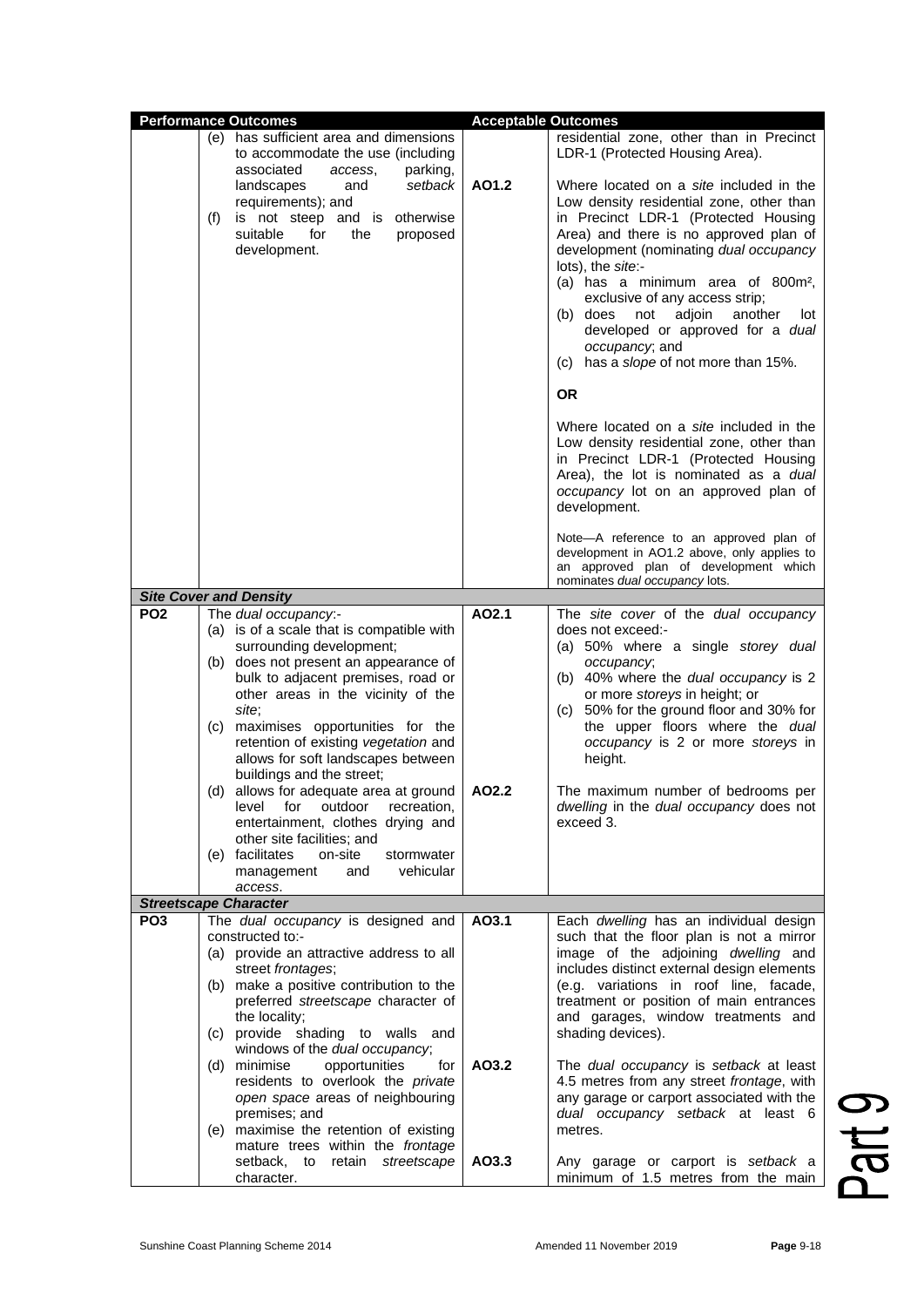|                 | <b>Performance Outcomes</b>                                                                                                                                                                                                                                                                                                                                                                                                                                                                                                                                                                                  | <b>Acceptable Outcomes</b> |                                                                                                                                                                                                                                                                                                                                                                                                                                                                                 |
|-----------------|--------------------------------------------------------------------------------------------------------------------------------------------------------------------------------------------------------------------------------------------------------------------------------------------------------------------------------------------------------------------------------------------------------------------------------------------------------------------------------------------------------------------------------------------------------------------------------------------------------------|----------------------------|---------------------------------------------------------------------------------------------------------------------------------------------------------------------------------------------------------------------------------------------------------------------------------------------------------------------------------------------------------------------------------------------------------------------------------------------------------------------------------|
|                 | (e) has sufficient area and dimensions<br>to accommodate the use (including<br>associated<br>parking,                                                                                                                                                                                                                                                                                                                                                                                                                                                                                                        |                            | residential zone, other than in Precinct<br>LDR-1 (Protected Housing Area).                                                                                                                                                                                                                                                                                                                                                                                                     |
|                 | access,<br>landscapes<br>and<br>setback<br>requirements); and<br>(f)<br>is not steep and is otherwise<br>suitable<br>for<br>the<br>proposed<br>development.                                                                                                                                                                                                                                                                                                                                                                                                                                                  | AO1.2                      | Where located on a <i>site</i> included in the<br>Low density residential zone, other than<br>in Precinct LDR-1 (Protected Housing<br>Area) and there is no approved plan of<br>development (nominating dual occupancy<br>lots), the site:-<br>(a) has a minimum area of 800m <sup>2</sup> ,<br>exclusive of any access strip;<br>(b) does<br>not<br>adjoin<br>another<br>lot<br>developed or approved for a dual<br>occupancy; and<br>has a slope of not more than 15%.<br>(C) |
|                 |                                                                                                                                                                                                                                                                                                                                                                                                                                                                                                                                                                                                              |                            | <b>OR</b>                                                                                                                                                                                                                                                                                                                                                                                                                                                                       |
|                 |                                                                                                                                                                                                                                                                                                                                                                                                                                                                                                                                                                                                              |                            | Where located on a site included in the<br>Low density residential zone, other than<br>in Precinct LDR-1 (Protected Housing<br>Area), the lot is nominated as a dual<br>occupancy lot on an approved plan of<br>development.                                                                                                                                                                                                                                                    |
|                 |                                                                                                                                                                                                                                                                                                                                                                                                                                                                                                                                                                                                              |                            | Note-A reference to an approved plan of<br>development in AO1.2 above, only applies to<br>an approved plan of development which<br>nominates dual occupancy lots.                                                                                                                                                                                                                                                                                                               |
|                 | <b>Site Cover and Density</b>                                                                                                                                                                                                                                                                                                                                                                                                                                                                                                                                                                                |                            |                                                                                                                                                                                                                                                                                                                                                                                                                                                                                 |
| <b>PO2</b>      | The dual occupancy:-<br>(a) is of a scale that is compatible with<br>surrounding development;<br>(b) does not present an appearance of<br>bulk to adjacent premises, road or<br>other areas in the vicinity of the<br>site;<br>maximises opportunities for the<br>(C)<br>retention of existing vegetation and<br>allows for soft landscapes between<br>buildings and the street;<br>(d) allows for adequate area at ground<br>level for outdoor recreation,<br>entertainment, clothes drying and<br>other site facilities; and<br>(e) facilitates<br>on-site<br>stormwater<br>vehicular<br>management<br>and | AO2.1<br>AO2.2             | The site cover of the dual occupancy<br>does not exceed:-<br>(a) 50% where a single storey dual<br>occupancy;<br>(b) 40% where the dual occupancy is 2<br>or more storeys in height; or<br>(c) 50% for the ground floor and 30% for<br>the upper floors where the dual<br>occupancy is 2 or more storeys in<br>height.<br>The maximum number of bedrooms per<br>dwelling in the dual occupancy does not<br>exceed 3.                                                            |
|                 | access.                                                                                                                                                                                                                                                                                                                                                                                                                                                                                                                                                                                                      |                            |                                                                                                                                                                                                                                                                                                                                                                                                                                                                                 |
|                 | <b>Streetscape Character</b>                                                                                                                                                                                                                                                                                                                                                                                                                                                                                                                                                                                 |                            |                                                                                                                                                                                                                                                                                                                                                                                                                                                                                 |
| PO <sub>3</sub> | The dual occupancy is designed and<br>constructed to:-<br>(a) provide an attractive address to all<br>street frontages;<br>(b) make a positive contribution to the<br>preferred streetscape character of<br>the locality;<br>(c) provide shading to walls and<br>windows of the dual occupancy;                                                                                                                                                                                                                                                                                                              | AO3.1                      | Each dwelling has an individual design<br>such that the floor plan is not a mirror<br>image of the adjoining dwelling and<br>includes distinct external design elements<br>(e.g. variations in roof line, facade,<br>treatment or position of main entrances<br>and garages, window treatments and<br>shading devices).                                                                                                                                                         |
|                 | (d) minimise<br>opportunities<br>for<br>residents to overlook the private<br>open space areas of neighbouring<br>premises; and<br>(e) maximise the retention of existing<br>mature trees within the frontage                                                                                                                                                                                                                                                                                                                                                                                                 | AO3.2                      | The dual occupancy is setback at least<br>4.5 metres from any street frontage, with<br>any garage or carport associated with the<br>dual occupancy setback at least 6<br>metres.                                                                                                                                                                                                                                                                                                |
|                 | setback, to<br>retain streetscape<br>character.                                                                                                                                                                                                                                                                                                                                                                                                                                                                                                                                                              | AO3.3                      | Any garage or carport is setback a<br>minimum of 1.5 metres from the main                                                                                                                                                                                                                                                                                                                                                                                                       |

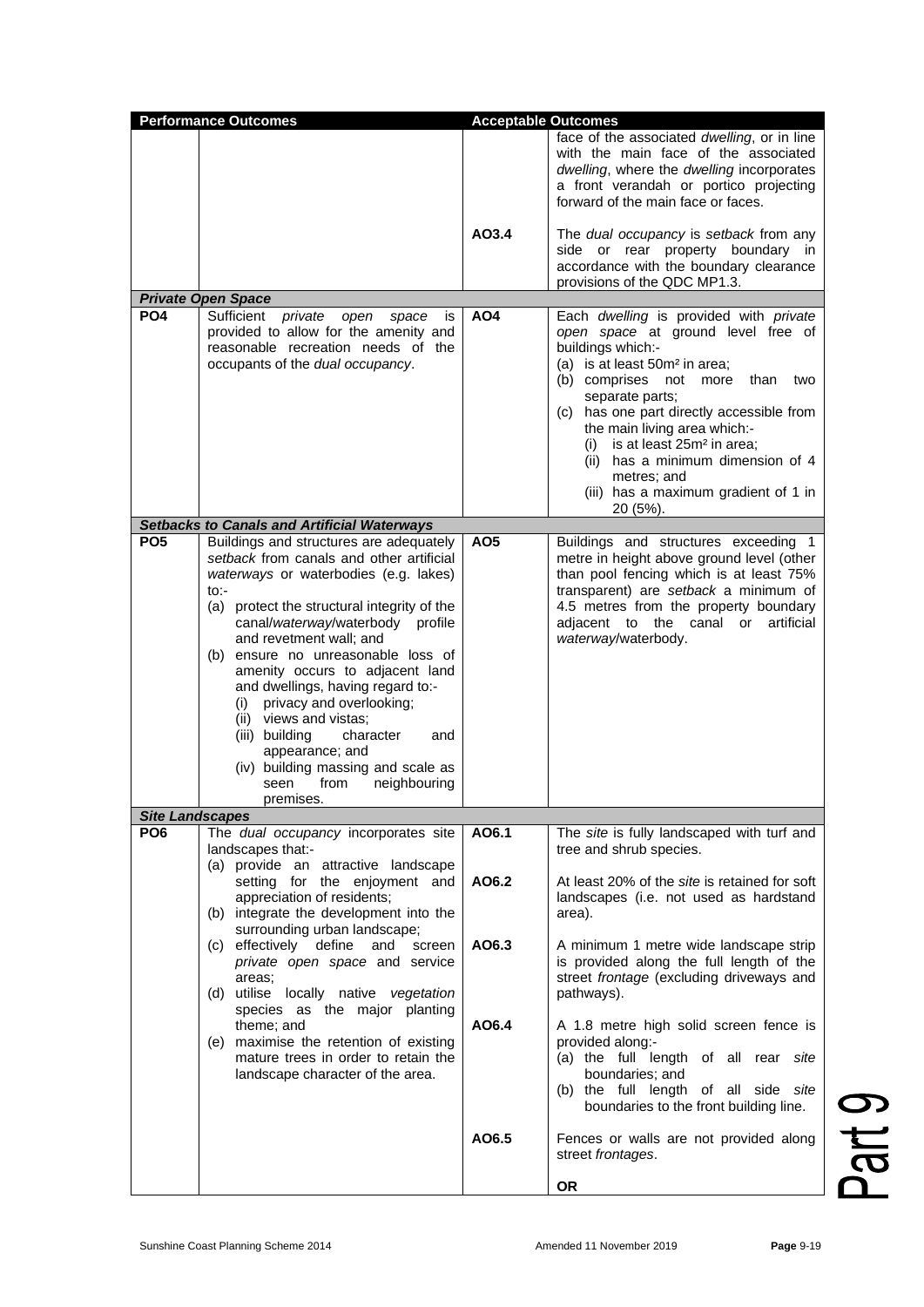| <b>Performance Outcomes</b> |                                                                                                                                                                                                                                                                                                                                                                                                                                                                                                                                                                           | <b>Acceptable Outcomes</b> |                                                                                                                                                                                                                                                                                                                                                                                                                                        |
|-----------------------------|---------------------------------------------------------------------------------------------------------------------------------------------------------------------------------------------------------------------------------------------------------------------------------------------------------------------------------------------------------------------------------------------------------------------------------------------------------------------------------------------------------------------------------------------------------------------------|----------------------------|----------------------------------------------------------------------------------------------------------------------------------------------------------------------------------------------------------------------------------------------------------------------------------------------------------------------------------------------------------------------------------------------------------------------------------------|
|                             |                                                                                                                                                                                                                                                                                                                                                                                                                                                                                                                                                                           |                            | face of the associated dwelling, or in line<br>with the main face of the associated<br>dwelling, where the dwelling incorporates<br>a front verandah or portico projecting<br>forward of the main face or faces.                                                                                                                                                                                                                       |
|                             |                                                                                                                                                                                                                                                                                                                                                                                                                                                                                                                                                                           | AO3.4                      | The <i>dual</i> occupancy is setback from any<br>side or rear property boundary in<br>accordance with the boundary clearance<br>provisions of the QDC MP1.3.                                                                                                                                                                                                                                                                           |
|                             | <b>Private Open Space</b>                                                                                                                                                                                                                                                                                                                                                                                                                                                                                                                                                 |                            |                                                                                                                                                                                                                                                                                                                                                                                                                                        |
| PO <sub>4</sub>             | Sufficient <i>private</i><br>open<br>space<br>is<br>provided to allow for the amenity and<br>reasonable recreation needs of the<br>occupants of the dual occupancy.                                                                                                                                                                                                                                                                                                                                                                                                       | AO4                        | Each dwelling is provided with private<br>open space at ground level free of<br>buildings which:-<br>(a) is at least $50m^2$ in area;<br>(b) comprises not more<br>than<br>two<br>separate parts;<br>(c) has one part directly accessible from<br>the main living area which:-<br>is at least 25m <sup>2</sup> in area;<br>(i)<br>(ii) has a minimum dimension of 4<br>metres; and<br>(iii) has a maximum gradient of 1 in<br>20 (5%). |
|                             | <b>Setbacks to Canals and Artificial Waterways</b>                                                                                                                                                                                                                                                                                                                                                                                                                                                                                                                        |                            |                                                                                                                                                                                                                                                                                                                                                                                                                                        |
| PO <sub>5</sub>             | Buildings and structures are adequately<br>setback from canals and other artificial<br>waterways or waterbodies (e.g. lakes)<br>to:-<br>(a) protect the structural integrity of the<br>canal/waterway/waterbody<br>profile<br>and revetment wall; and<br>(b) ensure no unreasonable loss of<br>amenity occurs to adjacent land<br>and dwellings, having regard to:-<br>(i) privacy and overlooking;<br>(ii) views and vistas;<br>(iii) building<br>character<br>and<br>appearance; and<br>(iv) building massing and scale as<br>neighbouring<br>seen<br>from<br>premises. | AO <sub>5</sub>            | Buildings and structures exceeding 1<br>metre in height above ground level (other<br>than pool fencing which is at least 75%<br>transparent) are setback a minimum of<br>4.5 metres from the property boundary<br>adiacent to the canal or artificial<br>waterway/waterbody.                                                                                                                                                           |
| <b>Site Landscapes</b>      |                                                                                                                                                                                                                                                                                                                                                                                                                                                                                                                                                                           |                            |                                                                                                                                                                                                                                                                                                                                                                                                                                        |
| PO <sub>6</sub>             | The dual occupancy incorporates site<br>landscapes that:-<br>(a) provide an attractive landscape<br>setting for the enjoyment and                                                                                                                                                                                                                                                                                                                                                                                                                                         | AO6.1<br>AO6.2             | The site is fully landscaped with turf and<br>tree and shrub species.<br>At least 20% of the <i>site</i> is retained for soft                                                                                                                                                                                                                                                                                                          |
|                             | appreciation of residents;<br>(b) integrate the development into the<br>surrounding urban landscape;                                                                                                                                                                                                                                                                                                                                                                                                                                                                      |                            | landscapes (i.e. not used as hardstand<br>area).                                                                                                                                                                                                                                                                                                                                                                                       |
|                             | (c) effectively define<br>and<br>screen<br>private open space and service<br>areas;<br>(d) utilise locally native vegetation<br>species as the major planting                                                                                                                                                                                                                                                                                                                                                                                                             | AO6.3                      | A minimum 1 metre wide landscape strip<br>is provided along the full length of the<br>street frontage (excluding driveways and<br>pathways).                                                                                                                                                                                                                                                                                           |
|                             | theme; and<br>(e) maximise the retention of existing<br>mature trees in order to retain the<br>landscape character of the area.                                                                                                                                                                                                                                                                                                                                                                                                                                           | AO6.4                      | A 1.8 metre high solid screen fence is<br>provided along:-<br>(a) the full length of all rear site<br>boundaries; and<br>(b) the full length of all side site<br>boundaries to the front building line.                                                                                                                                                                                                                                |
|                             |                                                                                                                                                                                                                                                                                                                                                                                                                                                                                                                                                                           | AO6.5                      | Fences or walls are not provided along<br>street frontages.                                                                                                                                                                                                                                                                                                                                                                            |
|                             |                                                                                                                                                                                                                                                                                                                                                                                                                                                                                                                                                                           |                            | <b>OR</b>                                                                                                                                                                                                                                                                                                                                                                                                                              |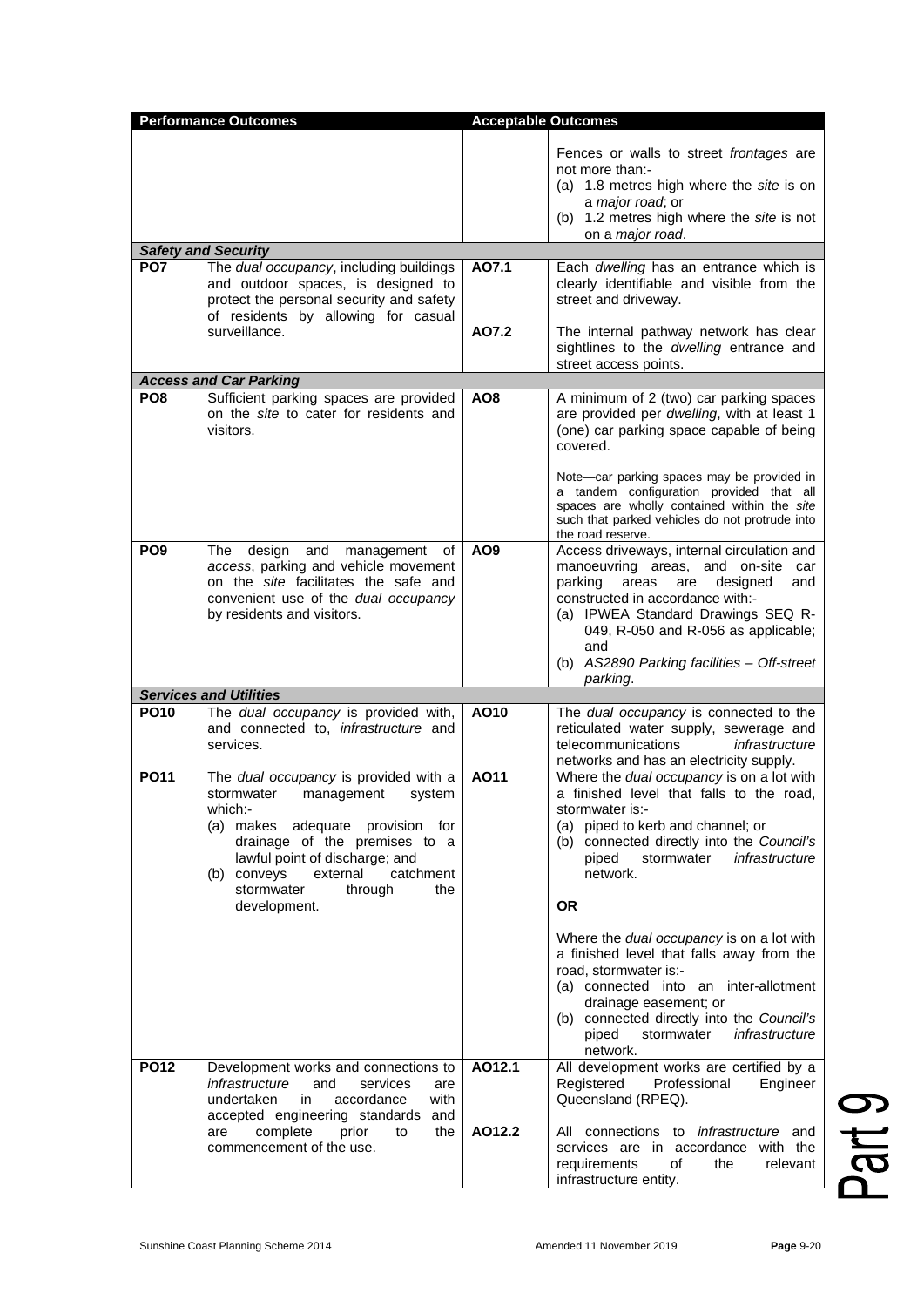|                 | <b>Performance Outcomes</b>                                                                                                                                                                                                                                                           | <b>Acceptable Outcomes</b> |                                                                                                                                                                                                                                                                                                                  |
|-----------------|---------------------------------------------------------------------------------------------------------------------------------------------------------------------------------------------------------------------------------------------------------------------------------------|----------------------------|------------------------------------------------------------------------------------------------------------------------------------------------------------------------------------------------------------------------------------------------------------------------------------------------------------------|
|                 |                                                                                                                                                                                                                                                                                       |                            | Fences or walls to street frontages are<br>not more than:-<br>(a) 1.8 metres high where the site is on<br>a major road; or<br>(b) 1.2 metres high where the site is not<br>on a major road.                                                                                                                      |
|                 | <b>Safety and Security</b>                                                                                                                                                                                                                                                            |                            |                                                                                                                                                                                                                                                                                                                  |
| PO <sub>7</sub> | The dual occupancy, including buildings<br>and outdoor spaces, is designed to<br>protect the personal security and safety<br>of residents by allowing for casual                                                                                                                      | AO7.1                      | Each dwelling has an entrance which is<br>clearly identifiable and visible from the<br>street and driveway.                                                                                                                                                                                                      |
|                 | surveillance.                                                                                                                                                                                                                                                                         | A07.2                      | The internal pathway network has clear<br>sightlines to the dwelling entrance and<br>street access points.                                                                                                                                                                                                       |
|                 | <b>Access and Car Parking</b>                                                                                                                                                                                                                                                         |                            |                                                                                                                                                                                                                                                                                                                  |
| PO <sub>8</sub> | Sufficient parking spaces are provided<br>on the site to cater for residents and<br>visitors.                                                                                                                                                                                         | AO8                        | A minimum of 2 (two) car parking spaces<br>are provided per dwelling, with at least 1<br>(one) car parking space capable of being<br>covered.<br>Note-car parking spaces may be provided in<br>a tandem configuration provided that all                                                                          |
|                 |                                                                                                                                                                                                                                                                                       |                            | spaces are wholly contained within the site<br>such that parked vehicles do not protrude into<br>the road reserve.                                                                                                                                                                                               |
| PO <sub>9</sub> | design and management of<br>The<br>access, parking and vehicle movement<br>on the site facilitates the safe and<br>convenient use of the dual occupancy<br>by residents and visitors.                                                                                                 | AO <sub>9</sub>            | Access driveways, internal circulation and<br>manoeuvring areas, and on-site car<br>parking<br>areas<br>designed<br>are<br>and<br>constructed in accordance with:-<br>(a) IPWEA Standard Drawings SEQ R-<br>049, R-050 and R-056 as applicable;<br>and<br>(b) AS2890 Parking facilities - Off-street<br>parking. |
|                 | <b>Services and Utilities</b>                                                                                                                                                                                                                                                         |                            |                                                                                                                                                                                                                                                                                                                  |
| <b>PO10</b>     | The dual occupancy is provided with,<br>and connected to, <i>infrastructure</i> and<br>services.                                                                                                                                                                                      | AO10                       | The dual occupancy is connected to the<br>reticulated water supply, sewerage and<br>telecommunications<br>infrastructure<br>networks and has an electricity supply.                                                                                                                                              |
| <b>PO11</b>     | The dual occupancy is provided with a<br>stormwater<br>management<br>system<br>which:-<br>(a) makes adequate provision for<br>drainage of the premises to a<br>lawful point of discharge; and<br>(b) conveys<br>external<br>catchment<br>stormwater<br>through<br>the<br>development. | A011                       | Where the dual occupancy is on a lot with<br>a finished level that falls to the road,<br>stormwater is:-<br>(a) piped to kerb and channel; or<br>(b) connected directly into the Council's<br>piped<br>stormwater<br>infrastructure<br>network.<br><b>OR</b>                                                     |
|                 |                                                                                                                                                                                                                                                                                       |                            | Where the dual occupancy is on a lot with<br>a finished level that falls away from the<br>road, stormwater is:-<br>(a) connected into an inter-allotment<br>drainage easement; or<br>(b) connected directly into the Council's<br>piped<br>infrastructure<br>stormwater<br>network.                              |
| <b>PO12</b>     | Development works and connections to<br>infrastructure<br>and<br>services<br>are<br>undertaken<br>accordance<br>in<br>with<br>accepted engineering standards and<br>complete<br>prior<br>to<br>the<br>are<br>commencement of the use.                                                 | AO12.1<br>AO12.2           | All development works are certified by a<br>Registered<br>Professional<br>Engineer<br>Queensland (RPEQ).<br>All connections to <i>infrastructure</i> and<br>services are in accordance with the<br>requirements<br>relevant<br>of<br>the<br>infrastructure entity.                                               |